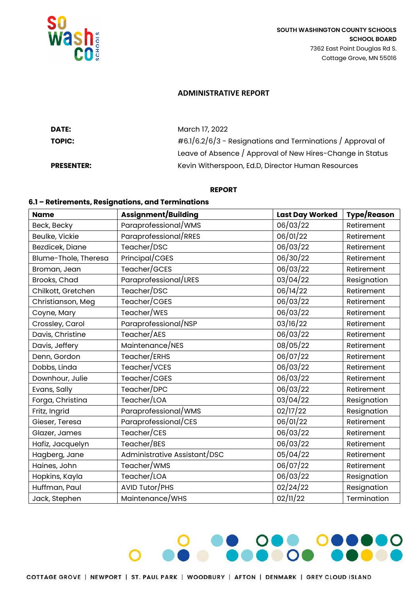

### **ADMINISTRATIVE REPORT**

| DATE:             | March 17, 2022                                                |
|-------------------|---------------------------------------------------------------|
| <b>TOPIC:</b>     | $\#6.1/6.2/6/3$ - Resignations and Terminations / Approval of |
|                   | Leave of Absence / Approval of New Hires-Change in Status     |
| <b>PRESENTER:</b> | Kevin Witherspoon, Ed.D, Director Human Resources             |

#### **REPORT**

# **6.1 – Retirements, Resignations, and Terminations**

| <b>Name</b>          | Assignment/Building          | <b>Last Day Worked</b> | Type/Reason |
|----------------------|------------------------------|------------------------|-------------|
| Beck, Becky          | Paraprofessional/WMS         | 06/03/22               | Retirement  |
| Beulke, Vickie       | Paraprofessional/RRES        | 06/01/22               | Retirement  |
| Bezdicek, Diane      | Teacher/DSC                  | 06/03/22               | Retirement  |
| Blume-Thole, Theresa | Principal/CGES               | 06/30/22               | Retirement  |
| Broman, Jean         | Teacher/GCES                 | 06/03/22               | Retirement  |
| Brooks, Chad         | Paraprofessional/LRES        | 03/04/22               | Resignation |
| Chilkott, Gretchen   | Teacher/DSC                  | 06/14/22               | Retirement  |
| Christianson, Meg    | Teacher/CGES                 | 06/03/22               | Retirement  |
| Coyne, Mary          | Teacher/WES                  | 06/03/22               | Retirement  |
| Crossley, Carol      | Paraprofessional/NSP         | 03/16/22               | Retirement  |
| Davis, Christine     | Teacher/AES                  | 06/03/22               | Retirement  |
| Davis, Jeffery       | Maintenance/NES              | 08/05/22               | Retirement  |
| Denn, Gordon         | Teacher/ERHS                 | 06/07/22               | Retirement  |
| Dobbs, Linda         | Teacher/VCES                 | 06/03/22               | Retirement  |
| Downhour, Julie      | Teacher/CGES                 | 06/03/22               | Retirement  |
| Evans, Sally         | Teacher/DPC                  | 06/03/22               | Retirement  |
| Forga, Christina     | Teacher/LOA                  | 03/04/22               | Resignation |
| Fritz, Ingrid        | Paraprofessional/WMS         | 02/17/22               | Resignation |
| Gieser, Teresa       | Paraprofessional/CES         | 06/01/22               | Retirement  |
| Glazer, James        | Teacher/CES                  | 06/03/22               | Retirement  |
| Hafiz, Jacquelyn     | Teacher/BES                  | 06/03/22               | Retirement  |
| Hagberg, Jane        | Administrative Assistant/DSC | 05/04/22               | Retirement  |
| Haines, John         | Teacher/WMS                  | 06/07/22               | Retirement  |
| Hopkins, Kayla       | Teacher/LOA                  | 06/03/22               | Resignation |
| Huffman, Paul        | AVID Tutor/PHS               | 02/24/22               | Resignation |
| Jack, Stephen        | Maintenance/WHS              | 02/11/22               | Termination |

800

0000000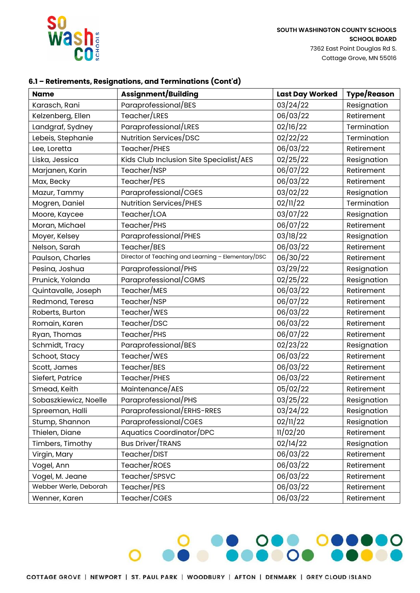

## **6.1 – Retirements, Resignations, and Terminations (Cont'd)**

| <b>Name</b>           | Assignment/Building                                | <b>Last Day Worked</b> | <b>Type/Reason</b> |
|-----------------------|----------------------------------------------------|------------------------|--------------------|
| Karasch, Rani         | Paraprofessional/BES                               | 03/24/22               | Resignation        |
| Kelzenberg, Ellen     | Teacher/LRES                                       | 06/03/22               | Retirement         |
| Landgraf, Sydney      | Paraprofessional/LRES                              | 02/16/22               | Termination        |
| Lebeis, Stephanie     | Nutrition Services/DSC                             | 02/22/22               | Termination        |
| Lee, Loretta          | Teacher/PHES                                       | 06/03/22               | Retirement         |
| Liska, Jessica        | Kids Club Inclusion Site Specialist/AES            | 02/25/22               | Resignation        |
| Marjanen, Karin       | Teacher/NSP                                        | 06/07/22               | Retirement         |
| Max, Becky            | Teacher/PES                                        | 06/03/22               | Retirement         |
| Mazur, Tammy          | Paraprofessional/CGES                              | 03/02/22               | Resignation        |
| Mogren, Daniel        | Nutrition Services/PHES                            | 02/11/22               | Termination        |
| Moore, Kaycee         | Teacher/LOA                                        | 03/07/22               | Resignation        |
| Moran, Michael        | Teacher/PHS                                        | 06/07/22               | Retirement         |
| Moyer, Kelsey         | Paraprofessional/PHES                              | 03/18/22               | Resignation        |
| Nelson, Sarah         | Teacher/BES                                        | 06/03/22               | Retirement         |
| Paulson, Charles      | Director of Teaching and Learning - Elementary/DSC | 06/30/22               | Retirement         |
| Pesina, Joshua        | Paraprofessional/PHS                               | 03/29/22               | Resignation        |
| Prunick, Yolanda      | Paraprofessional/CGMS                              | 02/25/22               | Resignation        |
| Quintavalle, Joseph   | Teacher/MES                                        | 06/03/22               | Retirement         |
| Redmond, Teresa       | Teacher/NSP                                        | 06/07/22               | Retirement         |
| Roberts, Burton       | Teacher/WES                                        | 06/03/22               | Retirement         |
| Romain, Karen         | Teacher/DSC                                        | 06/03/22               | Retirement         |
| Ryan, Thomas          | Teacher/PHS                                        | 06/07/22               | Retirement         |
| Schmidt, Tracy        | Paraprofessional/BES                               | 02/23/22               | Resignation        |
| Schoot, Stacy         | Teacher/WES                                        | 06/03/22               | Retirement         |
| Scott, James          | Teacher/BES                                        | 06/03/22               | Retirement         |
| Siefert, Patrice      | Teacher/PHES                                       | 06/03/22               | Retirement         |
| Smead, Keith          | Maintenance/AES                                    | 05/02/22               | Retirement         |
| Sobaszkiewicz, Noelle | Paraprofessional/PHS                               | 03/25/22               | Resignation        |
| Spreeman, Halli       | Paraprofessional/ERHS-RRES                         | 03/24/22               | Resignation        |
| Stump, Shannon        | Paraprofessional/CGES                              | 02/11/22               | Resignation        |
| Thielen, Diane        | Aquatics Coordinator/DPC                           | 11/02/20               | Retirement         |
| Timbers, Timothy      | <b>Bus Driver/TRANS</b>                            | 02/14/22               | Resignation        |
| Virgin, Mary          | Teacher/DIST                                       | 06/03/22               | Retirement         |
| Vogel, Ann            | Teacher/ROES                                       | 06/03/22               | Retirement         |
| Vogel, M. Jeane       | Teacher/SPSVC                                      | 06/03/22               | Retirement         |
| Webber Werle, Deborah | Teacher/PES                                        | 06/03/22               | Retirement         |
| Wenner, Karen         | Teacher/CGES                                       | 06/03/22               | Retirement         |

**PRODUCTION COOPERATION**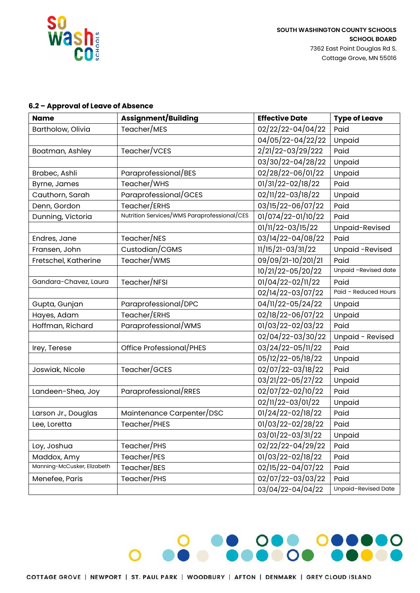

000000

## **6.2 – Approval of Leave of Absence**

| <b>Name</b>                 | <b>Assignment/Building</b>                  | <b>Effective Date</b>           | <b>Type of Leave</b> |
|-----------------------------|---------------------------------------------|---------------------------------|----------------------|
| Bartholow, Olivia           | Teacher/MES                                 | 02/22/22-04/04/22               | Paid                 |
|                             |                                             | 04/05/22-04/22/22               | Unpaid               |
| Boatman, Ashley             | Teacher/VCES                                | 2/21/22-03/29/222               | Paid                 |
|                             |                                             | 03/30/22-04/28/22               | Unpaid               |
| Brabec, Ashli               | Paraprofessional/BES                        | 02/28/22-06/01/22               | Unpaid               |
| Byrne, James                | Teacher/WHS                                 | 01/31/22-02/18/22               | Paid                 |
| Cauthorn, Sarah             | Paraprofessional/GCES                       | 02/11/22-03/18/22               | Unpaid               |
| Denn, Gordon                | Teacher/ERHS                                | 03/15/22-06/07/22               | Paid                 |
| Dunning, Victoria           | Nutrition Services/WMS Paraprofessional/CES | 01/074/22-01/10/22              | Paid                 |
|                             |                                             | 01/11/22-03/15/22               | Unpaid-Revised       |
| Endres, Jane                | Teacher/NES                                 | 03/14/22-04/08/22               | Paid                 |
| Fransen, John               | Custodian/CGMS                              | 11/15/21-03/31/22               | Unpaid -Revised      |
| Fretschel, Katherine        | Teacher/WMS                                 | 09/09/21-10/201/21              | Paid                 |
|                             |                                             | 10/21/22-05/20/22               | Unpaid -Revised date |
| Gandara-Chavez, Laura       | Teacher/NFSI                                | 01/04/22-02/11/22               | Paid                 |
|                             |                                             | 02/14/22-03/07/22               | Paid - Reduced Hours |
| Gupta, Gunjan               | Paraprofessional/DPC                        | 04/11/22-05/24/22               | Unpaid               |
| Hayes, Adam                 | Teacher/ERHS                                | 02/18/22-06/07/22               | Unpaid               |
| Hoffman, Richard            | Paraprofessional/WMS                        | 01/03/22-02/03/22               | Paid                 |
|                             |                                             | 02/04/22-03/30/22               | Unpaid - Revised     |
| Irey, Terese                | Office Professional/PHES                    | 03/24/22-05/11/22               | Paid                 |
|                             |                                             | 05/12/22-05/18/22               | Unpaid               |
| Joswiak, Nicole             | Teacher/GCES                                | 02/07/22-03/18/22               | Paid                 |
|                             |                                             | 03/21/22-05/27/22               | Unpaid               |
| Landeen-Shea, Joy           | Paraprofessional/RRES                       | 02/07/22-02/10/22               | Paid                 |
|                             |                                             | 02/11/22-03/01/22               | Unpaid               |
| Larson Jr., Douglas         | Maintenance Carpenter/DSC                   | 01/24/22-02/18/22               | Paid                 |
| Lee, Loretta                | Teacher/PHES                                | 01/03/22-02/28/22               | Paid                 |
|                             |                                             | 03/01/22-03/31/22               | Unpaid               |
| Loy, Joshua                 | Teacher/PHS                                 | 02/22/22-04/29/22               | Paid                 |
| Maddox, Amy                 | Teacher/PES                                 | 01/03/22-02/18/22               | Paid                 |
| Manning-McCusker, Elizabeth | Teacher/BES                                 | 02/15/22-04/07/22               | Paid                 |
| Menefee, Paris              | Teacher/PHS                                 | $\overline{02/07/22}$ -03/03/22 | Paid                 |
|                             |                                             | 03/04/22-04/04/22               | Unpaid-Revised Date  |

8.0000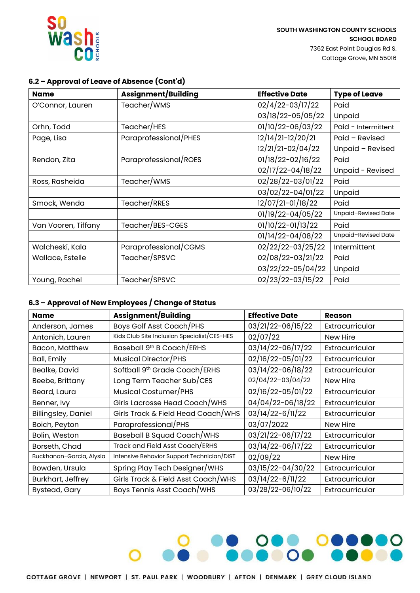

## **6.2 – Approval of Leave of Absence (Cont'd)**

| <b>Name</b>         | <b>Assignment/Building</b> | <b>Effective Date</b> | <b>Type of Leave</b> |
|---------------------|----------------------------|-----------------------|----------------------|
| O'Connor, Lauren    | Teacher/WMS                | 02/4/22-03/17/22      | Paid                 |
|                     |                            | 03/18/22-05/05/22     | Unpaid               |
| Orhn, Todd          | Teacher/HES                | 01/10/22-06/03/22     | Paid - Intermittent  |
| Page, Lisa          | Paraprofessional/PHES      | 12/14/21-12/20/21     | Paid - Revised       |
|                     |                            | 12/21/21-02/04/22     | Unpaid - Revised     |
| Rendon, Zita        | Paraprofessional/ROES      | 01/18/22-02/16/22     | Paid                 |
|                     |                            | 02/17/22-04/18/22     | Unpaid - Revised     |
| Ross, Rasheida      | Teacher/WMS                | 02/28/22-03/01/22     | Paid                 |
|                     |                            | 03/02/22-04/01/22     | Unpaid               |
| Smock, Wenda        | Teacher/RRES               | 12/07/21-01/18/22     | Paid                 |
|                     |                            | 01/19/22-04/05/22     | Unpaid-Revised Date  |
| Van Vooren, Tiffany | Teacher/BES-CGES           | 01/10/22-01/13/22     | Paid                 |
|                     |                            | 01/14/22-04/08/22     | Unpaid-Revised Date  |
| Walcheski, Kala     | Paraprofessional/CGMS      | 02/22/22-03/25/22     | Intermittent         |
| Wallace, Estelle    | Teacher/SPSVC              | 02/08/22-03/21/22     | Paid                 |
|                     |                            | 03/22/22-05/04/22     | Unpaid               |
| Young, Rachel       | Teacher/SPSVC              | 02/23/22-03/15/22     | Paid                 |

# **6.3 – Approval of New Employees / Change of Status**

| <b>Name</b>                | Assignment/Building                         | <b>Effective Date</b> | <b>Reason</b>   |
|----------------------------|---------------------------------------------|-----------------------|-----------------|
| Anderson, James            | Boys Golf Asst Coach/PHS                    | 03/21/22-06/15/22     | Extracurricular |
| Antonich, Lauren           | Kids Club Site Inclusion Specialist/CES-HES | 02/07/22              | New Hire        |
| Bacon, Matthew             | Baseball 9th B Coach/ERHS                   | 03/14/22-06/17/22     | Extracurricular |
| Ball, Emily                | Musical Director/PHS                        | 02/16/22-05/01/22     | Extracurricular |
| Bealke, David              | Softball 9 <sup>th</sup> Grade Coach/ERHS   | 03/14/22-06/18/22     | Extracurricular |
| Beebe, Brittany            | Long Term Teacher Sub/CES                   | 02/04/22-03/04/22     | New Hire        |
| Beard, Laura               | Musical Costumer/PHS                        | 02/16/22-05/01/22     | Extracurricular |
| Benner, Ivy                | Girls Lacrosse Head Coach/WHS               | 04/04/22-06/18/22     | Extracurricular |
| <b>Billingsley, Daniel</b> | Girls Track & Field Head Coach/WHS          | 03/14/22-6/11/22      | Extracurricular |
| Boich, Peyton              | Paraprofessional/PHS                        | 03/07/2022            | New Hire        |
| Bolin, Weston              | Baseball B Squad Coach/WHS                  | 03/21/22-06/17/22     | Extracurricular |
| Borseth, Chad              | Track and Field Asst Coach/ERHS             | 03/14/22-06/17/22     | Extracurricular |
| Buckhanan-Garcia, Alysia   | Intensive Behavior Support Technician/DIST  | 02/09/22              | New Hire        |
| Bowden, Ursula             | Spring Play Tech Designer/WHS               | 03/15/22-04/30/22     | Extracurricular |
| Burkhart, Jeffrey          | Girls Track & Field Asst Coach/WHS          | 03/14/22-6/11/22      | Extracurricular |
| <b>Bystead, Gary</b>       | <b>Boys Tennis Asst Coach/WHS</b>           | 03/28/22-06/10/22     | Extracurricular |

**DE DES DESERVES**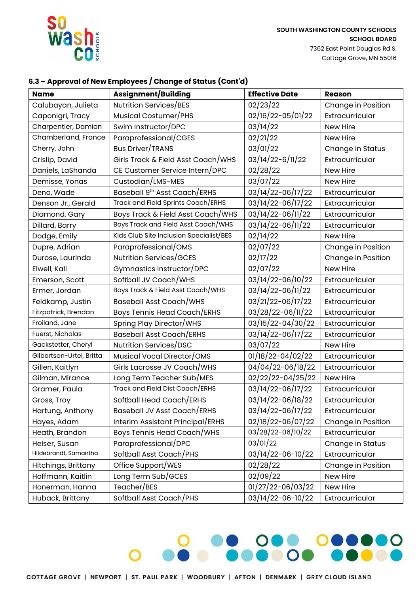

# **6.3 – Approval of New Employees / Change of Status (Cont'd)**

| <b>Name</b>              | <b>Assignment/Building</b>              | <b>Effective Date</b> | <b>Reason</b>      |
|--------------------------|-----------------------------------------|-----------------------|--------------------|
| Calubayan, Julieta       | Nutrition Services/BES                  | 02/23/22              | Change in Position |
| Caponigri, Tracy         | Musical Costumer/PHS                    | 02/16/22-05/01/22     | Extracurricular    |
| Charpentier, Damion      | Swim Instructor/DPC                     | 03/14/22              | New Hire           |
| Chamberland, France      | Paraprofessional/CGES                   | 02/21/22              | New Hire           |
| Cherry, John             | <b>Bus Driver/TRANS</b>                 | 03/01/22              | Change in Status   |
| Crislip, David           | Girls Track & Field Asst Coach/WHS      | 03/14/22-6/11/22      | Extracurricular    |
| Daniels, LaShanda        | CE Customer Service Intern/DPC          | 02/28/22              | New Hire           |
| Demisse, Yonas           | Custodian/LMS-MES                       | 03/07/22              | New Hire           |
| Deno, Wade               | Baseball 9th Asst Coach/ERHS            | 03/14/22-06/17/22     | Extracurricular    |
| Denson Jr., Gerald       | Track and Field Sprints Coach/ERHS      | 03/14/22-06/17/22     | Extracurricular    |
| Diamond, Gary            | Boys Track & Field Asst Coach/WHS       | 03/14/22-06/11/22     | Extracurricular    |
| Dillard, Barry           | Boys Track and Field Asst Coach/WHS     | 03/14/22-06/11/22     | Extracurricular    |
| Dodge, Emily             | Kids Club Site Inclusion Specialist/BES | 02/14/22              | New Hire           |
| Dupre, Adrian            | Paraprofessional/OMS                    | 02/07/22              | Change in Position |
| Durose, Laurinda         | Nutrition Services/GCES                 | 02/17/22              | Change in Position |
| Elwell, Kali             | Gymnastics Instructor/DPC               | 02/07/22              | New Hire           |
| Emerson, Scott           | Softball JV Coach/WHS                   | 03/14/22-06/10/22     | Extracurricular    |
| Ermer, Jordan            | Boys Track & Field Asst Coach/WHS       | 03/14/22-06/11/22     | Extracurricular    |
| Feldkamp, Justin         | <b>Baseball Asst Coach/WHS</b>          | 03/21/22-06/17/22     | Extracurricular    |
| Fitzpatrick, Brendan     | <b>Boys Tennis Head Coach/ERHS</b>      | 03/28/22-06/11/22     | Extracurricular    |
| Froiland, Jane           | Spring Play Director/WHS                | 03/15/22-04/30/22     | Extracurricular    |
| Fuerst, Nicholas         | <b>Baseball Asst Coach/ERHS</b>         | 03/14/22-06/17/22     | Extracurricular    |
| Gackstetter, Cheryl      | Nutrition Services/DSC                  | 03/07/22              | New Hire           |
| Gilbertson-Urtel, Britta | Musical Vocal Director/OMS              | 01/18/22-04/02/22     | Extracurricular    |
| Gillen, Kaitlyn          | Girls Lacrosse JV Coach/WHS             | 04/04/22-06/18/22     | Extracurricular    |
| Gilman, Mirance          | Long Term Teacher Sub/MES               | 02/22/22-04/25/22     | New Hire           |
| Gramer, Paula            | Track and Field Dist Coach/ERHS         | 03/14/22-06/17/22     | Extracurricular    |
| Gross, Troy              | Softball Head Coach/ERHS                | 03/14/22-06/18/22     | Extracurricular    |
| Hartung, Anthony         | <b>Baseball JV Asst Coach/ERHS</b>      | 03/14/22-06/17/22     | Extracurricular    |
| Hayes, Adam              | Interim Assistant Principal/ERHS        | 02/18/22-06/07/22     | Change in Position |
| Heath, Brandon           | <b>Boys Tennis Head Coach/WHS</b>       | 03/28/22-06/10/22     | Extracurricular    |
| Helser, Susan            | Paraprofessional/DPC                    | 03/01/22              | Change in Status   |
| Hildebrandt, Samantha    | Softball Asst Coach/PHS                 | 03/14/22-06-10/22     | Extracurricular    |
| Hitchings, Brittany      | Office Support/WES                      | 02/28/22              | Change in Position |
| Hoffmann, Kaitlin        | Long Term Sub/GCES                      | 02/09/22              | New Hire           |
| Honerman, Hanna          | Teacher/BES                             | 01/27/22-06/03/22     | New Hire           |
| Huback, Brittany         | Softball Asst Coach/PHS                 | 03/14/22-06-10/22     | Extracurricular    |

<u>e ose oseso</u>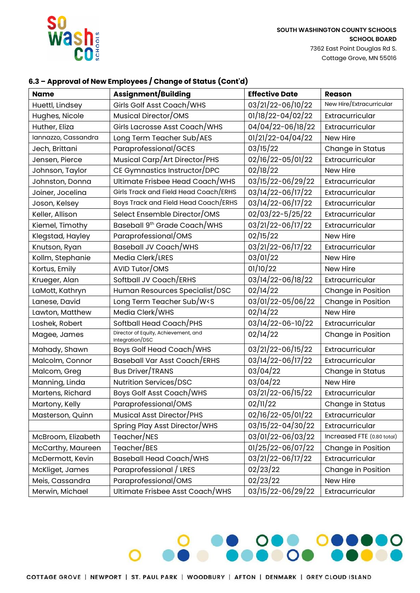

**SOUTH WASHINGTON COUNTY SCHOOLS SCHOOL BOARD** 7362 East Point Douglas Rd S. Cottage Grove, MN 55016

## **6.3 – Approval of New Employees / Change of Status (Cont'd)**

| <b>Name</b>         | <b>Assignment/Building</b>                                                                   | <b>Effective Date</b> | <b>Reason</b>              |
|---------------------|----------------------------------------------------------------------------------------------|-----------------------|----------------------------|
| Huettl, Lindsey     | Girls Golf Asst Coach/WHS                                                                    | 03/21/22-06/10/22     | New Hire/Extracurricular   |
| Hughes, Nicole      | Musical Director/OMS                                                                         | 01/18/22-04/02/22     | Extracurricular            |
| Huther, Eliza       | Girls Lacrosse Asst Coach/WHS                                                                | 04/04/22-06/18/22     | Extracurricular            |
| Iannazzo, Cassandra | Long Term Teacher Sub/AES                                                                    | 01/21/22-04/04/22     | New Hire                   |
| Jech, Brittani      | Paraprofessional/GCES                                                                        | 03/15/22              | Change in Status           |
| Jensen, Pierce      | Musical Carp/Art Director/PHS                                                                | 02/16/22-05/01/22     | Extracurricular            |
| Johnson, Taylor     | CE Gymnastics Instructor/DPC                                                                 | 02/18/22              | New Hire                   |
| Johnston, Donna     | Ultimate Frisbee Head Coach/WHS                                                              | 03/15/22-06/29/22     | Extracurricular            |
| Joiner, Jocelina    | Girls Track and Field Head Coach/ERHS                                                        | 03/14/22-06/17/22     | Extracurricular            |
| Joson, Kelsey       | Boys Track and Field Head Coach/ERHS                                                         | 03/14/22-06/17/22     | Extracurricular            |
| Keller, Allison     | Select Ensemble Director/OMS                                                                 | 02/03/22-5/25/22      | Extracurricular            |
| Kiemel, Timothy     | Baseball 9 <sup>th</sup> Grade Coach/WHS                                                     | 03/21/22-06/17/22     | Extracurricular            |
| Klegstad, Hayley    | Paraprofessional/OMS                                                                         | 02/15/22              | New Hire                   |
| Knutson, Ryan       | Baseball JV Coach/WHS                                                                        | 03/21/22-06/17/22     | Extracurricular            |
| Kollm, Stephanie    | Media Clerk/LRES                                                                             | 03/01/22              | New Hire                   |
| Kortus, Emily       | AVID Tutor/OMS                                                                               | 01/10/22              | New Hire                   |
| Krueger, Alan       | Softball JV Coach/ERHS                                                                       | 03/14/22-06/18/22     | Extracurricular            |
| LaMott, Kathryn     | Human Resources Specialist/DSC                                                               | 02/14/22              | Change in Position         |
| Lanese, David       | Long Term Teacher Sub/W <s< td=""><td>03/01/22-05/06/22</td><td>Change in Position</td></s<> | 03/01/22-05/06/22     | Change in Position         |
| Lawton, Matthew     | Media Clerk/WHS                                                                              | 02/14/22              | New Hire                   |
| Loshek, Robert      | Softball Head Coach/PHS                                                                      | 03/14/22-06-10/22     | Extracurricular            |
| Magee, James        | Director of Equity, Achievement, and<br>Integration/DSC                                      | 02/14/22              | Change in Position         |
| Mahady, Shawn       | <b>Boys Golf Head Coach/WHS</b>                                                              | 03/21/22-06/15/22     | Extracurricular            |
| Malcolm, Connor     | <b>Baseball Var Asst Coach/ERHS</b>                                                          | 03/14/22-06/17/22     | Extracurricular            |
| Malcom, Greg        | Bus Driver/TRANS                                                                             | 03/04/22              | Change in Status           |
| Manning, Linda      | Nutrition Services/DSC                                                                       | 03/04/22              | New Hire                   |
| Martens, Richard    | Boys Golf Asst Coach/WHS                                                                     | 03/21/22-06/15/22     | Extracurricular            |
| Martony, Kelly      | Paraprofessional/OMS                                                                         | 02/11/22              | Change in Status           |
| Masterson, Quinn    | Musical Asst Director/PHS                                                                    | 02/16/22-05/01/22     | Extracurricular            |
|                     | Spring Play Asst Director/WHS                                                                | 03/15/22-04/30/22     | Extracurricular            |
| McBroom, Elizabeth  | Teacher/NES                                                                                  | 03/01/22-06/03/22     | Increased FTE (0.80 total) |
| McCarthy, Maureen   | Teacher/BES                                                                                  | 01/25/22-06/07/22     | Change in Position         |
| McDermott, Kevin    | <b>Baseball Head Coach/WHS</b>                                                               | 03/21/22-06/17/22     | Extracurricular            |
| McKliget, James     | Paraprofessional / LRES                                                                      | 02/23/22              | Change in Position         |
| Meis, Cassandra     | Paraprofessional/OMS                                                                         | 02/23/22              | New Hire                   |
| Merwin, Michael     | Ultimate Frisbee Asst Coach/WHS                                                              | 03/15/22-06/29/22     | Extracurricular            |

**PRODUCTION COOPERATION**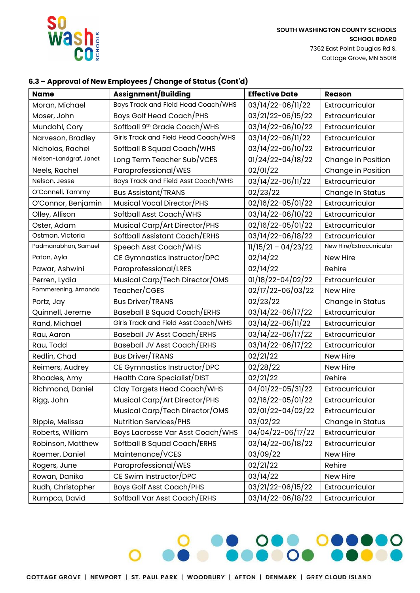

**SOUTH WASHINGTON COUNTY SCHOOLS SCHOOL BOARD** 7362 East Point Douglas Rd S. Cottage Grove, MN 55016

# **6.3 – Approval of New Employees / Change of Status (Cont'd)**

| Name                    | <b>Assignment/Building</b>               | <b>Effective Date</b> | <b>Reason</b>            |
|-------------------------|------------------------------------------|-----------------------|--------------------------|
| Moran, Michael          | Boys Track and Field Head Coach/WHS      | 03/14/22-06/11/22     | Extracurricular          |
| Moser, John             | Boys Golf Head Coach/PHS                 | 03/21/22-06/15/22     | Extracurricular          |
| Mundahl, Cory           | Softball 9 <sup>th</sup> Grade Coach/WHS | 03/14/22-06/10/22     | Extracurricular          |
| Narveson, Bradley       | Girls Track and Field Head Coach/WHS     | 03/14/22-06/11/22     | Extracurricular          |
| Nicholas, Rachel        | Softball B Squad Coach/WHS               | 03/14/22-06/10/22     | Extracurricular          |
| Nielsen-Landgraf, Janet | Long Term Teacher Sub/VCES               | 01/24/22-04/18/22     | Change in Position       |
| Neels, Rachel           | Paraprofessional/WES                     | 02/01/22              | Change in Position       |
| Nelson, Jesse           | Boys Track and Field Asst Coach/WHS      | 03/14/22-06/11/22     | Extracurricular          |
| O'Connell, Tammy        | <b>Bus Assistant/TRANS</b>               | 02/23/22              | Change In Status         |
| O'Connor, Benjamin      | Musical Vocal Director/PHS               | 02/16/22-05/01/22     | Extracurricular          |
| Olley, Allison          | Softball Asst Coach/WHS                  | 03/14/22-06/10/22     | Extracurricular          |
| Oster, Adam             | Musical Carp/Art Director/PHS            | 02/16/22-05/01/22     | Extracurricular          |
| Ostman, Victoria        | Softball Assistant Coach/ERHS            | 03/14/22-06/18/22     | Extracurricular          |
| Padmanabhan, Samuel     | Speech Asst Coach/WHS                    | $11/15/21 - 04/23/22$ | New Hire/Extracurricular |
| Paton, Ayla             | CE Gymnastics Instructor/DPC             | 02/14/22              | New Hire                 |
| Pawar, Ashwini          | Paraprofessional/LRES                    | 02/14/22              | Rehire                   |
| Perren, Lydia           | Musical Carp/Tech Director/OMS           | 01/18/22-04/02/22     | Extracurricular          |
| Pommerening, Amanda     | Teacher/CGES                             | 02/17/22-06/03/22     | New Hire                 |
| Portz, Jay              | <b>Bus Driver/TRANS</b>                  | 02/23/22              | Change in Status         |
| Quinnell, Jereme        | <b>Baseball B Squad Coach/ERHS</b>       | 03/14/22-06/17/22     | Extracurricular          |
| Rand, Michael           | Girls Track and Field Asst Coach/WHS     | 03/14/22-06/11/22     | Extracurricular          |
| Rau, Aaron              | <b>Baseball JV Asst Coach/ERHS</b>       | 03/14/22-06/17/22     | Extracurricular          |
| Rau, Todd               | <b>Baseball JV Asst Coach/ERHS</b>       | 03/14/22-06/17/22     | Extracurricular          |
| Redlin, Chad            | <b>Bus Driver/TRANS</b>                  | 02/21/22              | New Hire                 |
| Reimers, Audrey         | CE Gymnastics Instructor/DPC             | 02/28/22              | New Hire                 |
| Rhoades, Amy            | Health Care Specialist/DIST              | 02/21/22              | Rehire                   |
| Richmond, Daniel        | Clay Targets Head Coach/WHS              | 04/01/22-05/31/22     | Extracurricular          |
| Rigg, John              | Musical Carp/Art Director/PHS            | 02/16/22-05/01/22     | Extracurricular          |
|                         | Musical Carp/Tech Director/OMS           | 02/01/22-04/02/22     | Extracurricular          |
| Rippie, Melissa         | Nutrition Services/PHS                   | 03/02/22              | Change in Status         |
| Roberts, William        | Boys Lacrosse Var Asst Coach/WHS         | 04/04/22-06/17/22     | Extracurricular          |
| Robinson, Matthew       | Softball B Squad Coach/ERHS              | 03/14/22-06/18/22     | Extracurricular          |
| Roemer, Daniel          | Maintenance/VCES                         | 03/09/22              | New Hire                 |
| Rogers, June            | Paraprofessional/WES                     | 02/21/22              | Rehire                   |
| Rowan, Danika           | CE Swim Instructor/DPC                   | 03/14/22              | New Hire                 |
| Rudh, Christopher       | <b>Boys Golf Asst Coach/PHS</b>          | 03/21/22-06/15/22     | Extracurricular          |
| Rumpca, David           | Softball Var Asst Coach/ERHS             | 03/14/22-06/18/22     | Extracurricular          |

<u>. 000 000000</u>